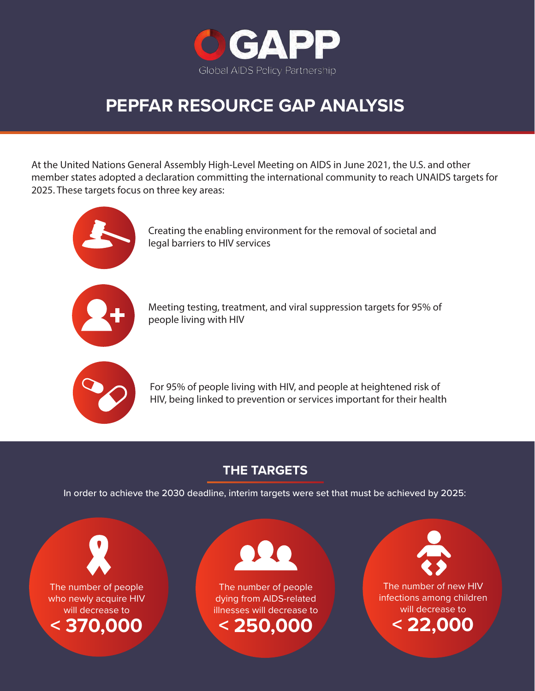

# **PEPFAR RESOURCE GAP ANALYSIS**

At the United Nations General Assembly High-Level Meeting on AIDS in June 2021, the U.S. and other member states adopted a declaration committing the international community to reach UNAIDS targets for 2025. These targets focus on three key areas:



Creating the enabling environment for the removal of societal and legal barriers to HIV services



Meeting testing, treatment, and viral suppression targets for 95% of people living with HIV



For 95% of people living with HIV, and people at heightened risk of HIV, being linked to prevention or services important for their health

## **THE TARGETS**

In order to achieve the 2030 deadline, interim targets were set that must be achieved by 2025:



The number of people who newly acquire HIV will decrease to **< 370,000**



The number of people dying from AIDS-related illnesses will decrease to **< 250,000**



The number of new HIV infections among children will decrease to

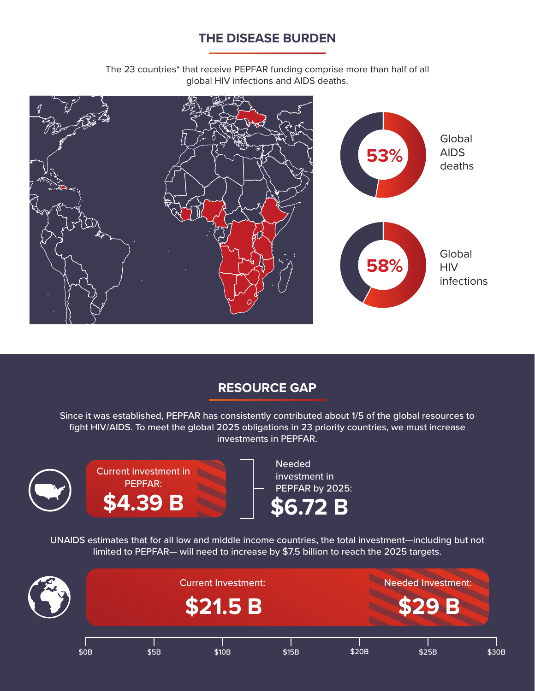#### **THE DISEASE BURDEN**

The 23 countries\* that receive PEPFAR funding comprise more than half of all global HIV infections and AIDS deaths.



#### **RESOURCE GAP**

Since it was established, PEPFAR has consistently contributed about 1/5 of the global resources to fight HIV/AIDS. To meet the global 2025 obligations in 23 priority countries, we must increase investments in PEPFAR.



Current investment in PEPFAR: **\$4.39 B**

Needed investment in PEPFAR by 2025: **\$6.72 B**

UNAIDS estimates that for all low and middle income countries, the total investment—including but not limited to PEPFAR— will need to increase by \$7.5 billion to reach the 2025 targets.